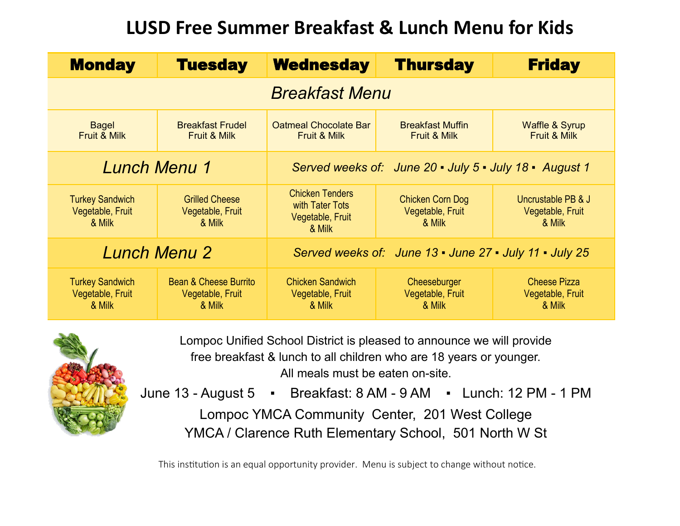## **LUSD Free Summer Breakfast & Lunch Menu for Kids**

| <b>Monday</b>                                        | <b>Tuesday</b>                                      | <b>Wednesday</b>                                                        | <b>Thursday</b>                                    | <b>Friday</b>                                     |  |  |
|------------------------------------------------------|-----------------------------------------------------|-------------------------------------------------------------------------|----------------------------------------------------|---------------------------------------------------|--|--|
| <b>Breakfast Menu</b>                                |                                                     |                                                                         |                                                    |                                                   |  |  |
| Bagel<br><b>Fruit &amp; Milk</b>                     | <b>Breakfast Frudel</b><br>Fruit & Milk             | <b>Oatmeal Chocolate Bar</b><br>Fruit & Milk                            | <b>Breakfast Muffin</b><br><b>Fruit &amp; Milk</b> | <b>Waffle &amp; Syrup</b><br>Fruit & Milk         |  |  |
| <b>Lunch Menu 1</b>                                  |                                                     | Served weeks of: June 20 - July 5 - July 18 - August 1                  |                                                    |                                                   |  |  |
| <b>Turkey Sandwich</b><br>Vegetable, Fruit<br>& Milk | <b>Grilled Cheese</b><br>Vegetable, Fruit<br>& Milk | <b>Chicken Tenders</b><br>with Tater Tots<br>Vegetable, Fruit<br>& Milk | Chicken Corn Dog<br>Vegetable, Fruit<br>& Milk     | Uncrustable PB & J<br>Vegetable, Fruit<br>& Milk  |  |  |
| <b>Lunch Menu 2</b>                                  |                                                     | Served weeks of: June 13 - June 27 - July 11 - July 25                  |                                                    |                                                   |  |  |
| <b>Turkey Sandwich</b><br>Vegetable, Fruit<br>& Milk | Bean & Cheese Burrito<br>Vegetable, Fruit<br>& Milk | <b>Chicken Sandwich</b><br>Vegetable, Fruit<br>& Milk                   | Cheeseburger<br>Vegetable, Fruit<br>& Milk         | <b>Cheese Pizza</b><br>Vegetable, Fruit<br>& Milk |  |  |



Lompoc Unified School District is pleased to announce we will provide free breakfast & lunch to all children who are 18 years or younger. All meals must be eaten on-site.

June 13 - August 5 · Breakfast: 8 AM - 9 AM · Lunch: 12 PM - 1 PM Lompoc YMCA Community Center, 201 West College YMCA / Clarence Ruth Elementary School, 501 North W St

This institution is an equal opportunity provider. Menu is subject to change without notice.